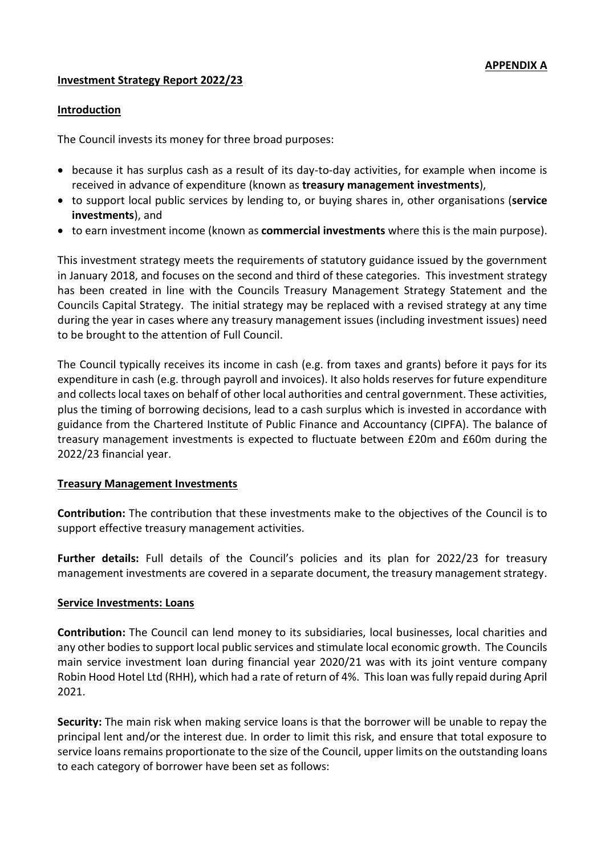#### **Investment Strategy Report 2022/23**

#### **Introduction**

The Council invests its money for three broad purposes:

- because it has surplus cash as a result of its day-to-day activities, for example when income is received in advance of expenditure (known as **treasury management investments**),
- to support local public services by lending to, or buying shares in, other organisations (**service investments**), and
- to earn investment income (known as **commercial investments** where this is the main purpose).

This investment strategy meets the requirements of statutory guidance issued by the government in January 2018, and focuses on the second and third of these categories. This investment strategy has been created in line with the Councils Treasury Management Strategy Statement and the Councils Capital Strategy. The initial strategy may be replaced with a revised strategy at any time during the year in cases where any treasury management issues (including investment issues) need to be brought to the attention of Full Council.

The Council typically receives its income in cash (e.g. from taxes and grants) before it pays for its expenditure in cash (e.g. through payroll and invoices). It also holds reserves for future expenditure and collects local taxes on behalf of other local authorities and central government. These activities, plus the timing of borrowing decisions, lead to a cash surplus which is invested in accordance with guidance from the Chartered Institute of Public Finance and Accountancy (CIPFA). The balance of treasury management investments is expected to fluctuate between £20m and £60m during the 2022/23 financial year.

#### **Treasury Management Investments**

**Contribution:** The contribution that these investments make to the objectives of the Council is to support effective treasury management activities.

**Further details:** Full details of the Council's policies and its plan for 2022/23 for treasury management investments are covered in a separate document, the treasury management strategy.

#### **Service Investments: Loans**

**Contribution:** The Council can lend money to its subsidiaries, local businesses, local charities and any other bodies to support local public services and stimulate local economic growth. The Councils main service investment loan during financial year 2020/21 was with its joint venture company Robin Hood Hotel Ltd (RHH), which had a rate of return of 4%. This loan was fully repaid during April 2021.

**Security:** The main risk when making service loans is that the borrower will be unable to repay the principal lent and/or the interest due. In order to limit this risk, and ensure that total exposure to service loans remains proportionate to the size of the Council, upper limits on the outstanding loans to each category of borrower have been set as follows: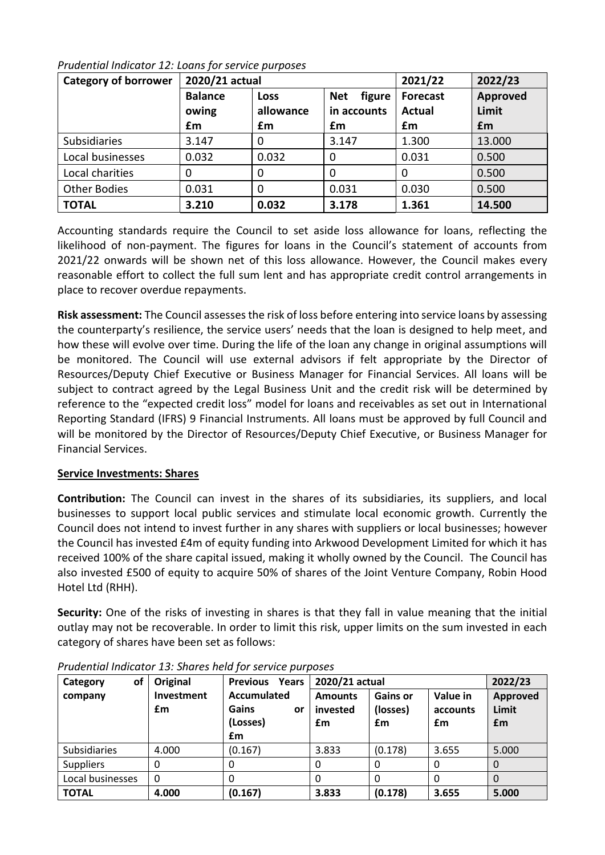| <b>Category of borrower</b> | 2020/21 actual          |                   |                                     | 2021/22                          | 2022/23           |
|-----------------------------|-------------------------|-------------------|-------------------------------------|----------------------------------|-------------------|
|                             | <b>Balance</b><br>owing | Loss<br>allowance | figure<br><b>Net</b><br>in accounts | <b>Forecast</b><br><b>Actual</b> | Approved<br>Limit |
|                             | £m                      | £m                | £m                                  | £m                               | £m                |
| <b>Subsidiaries</b>         | 3.147                   | 0                 | 3.147                               | 1.300                            | 13.000            |
| Local businesses            | 0.032                   | 0.032             | 0                                   | 0.031                            | 0.500             |
| Local charities             | $\Omega$                | 0                 | 0                                   | O                                | 0.500             |
| <b>Other Bodies</b>         | 0.031                   | 0                 | 0.031                               | 0.030                            | 0.500             |
| <b>TOTAL</b>                | 3.210                   | 0.032             | 3.178                               | 1.361                            | 14.500            |

Accounting standards require the Council to set aside loss allowance for loans, reflecting the likelihood of non-payment. The figures for loans in the Council's statement of accounts from 2021/22 onwards will be shown net of this loss allowance. However, the Council makes every reasonable effort to collect the full sum lent and has appropriate credit control arrangements in place to recover overdue repayments.

**Risk assessment:** The Council assesses the risk of loss before entering into service loans by assessing the counterparty's resilience, the service users' needs that the loan is designed to help meet, and how these will evolve over time. During the life of the loan any change in original assumptions will be monitored. The Council will use external advisors if felt appropriate by the Director of Resources/Deputy Chief Executive or Business Manager for Financial Services. All loans will be subject to contract agreed by the Legal Business Unit and the credit risk will be determined by reference to the "expected credit loss" model for loans and receivables as set out in International Reporting Standard (IFRS) 9 Financial Instruments. All loans must be approved by full Council and will be monitored by the Director of Resources/Deputy Chief Executive, or Business Manager for Financial Services.

# **Service Investments: Shares**

**Contribution:** The Council can invest in the shares of its subsidiaries, its suppliers, and local businesses to support local public services and stimulate local economic growth. Currently the Council does not intend to invest further in any shares with suppliers or local businesses; however the Council has invested £4m of equity funding into Arkwood Development Limited for which it has received 100% of the share capital issued, making it wholly owned by the Council. The Council has also invested £500 of equity to acquire 50% of shares of the Joint Venture Company, Robin Hood Hotel Ltd (RHH).

**Security:** One of the risks of investing in shares is that they fall in value meaning that the initial outlay may not be recoverable. In order to limit this risk, upper limits on the sum invested in each category of shares have been set as follows:

| of<br>Category      | Original   | <b>Previous Years</b> | 2020/21 actual |                 |          | 2022/23  |
|---------------------|------------|-----------------------|----------------|-----------------|----------|----------|
| company             | Investment | Accumulated           | <b>Amounts</b> | <b>Gains or</b> | Value in | Approved |
|                     | £m         | Gains<br>or           | invested       | (losses)        | accounts | Limit    |
|                     |            | (Losses)              | £m             | £m              | £m       | £m       |
|                     |            | £m                    |                |                 |          |          |
| <b>Subsidiaries</b> | 4.000      | (0.167)               | 3.833          | (0.178)         | 3.655    | 5.000    |
| <b>Suppliers</b>    | 0          | 0                     |                |                 |          |          |
| Local businesses    | $\Omega$   | 0                     |                |                 |          |          |
| <b>TOTAL</b>        | 4.000      | (0.167)               | 3.833          | (0.178)         | 3.655    | 5.000    |

*Prudential Indicator 13: Shares held for service purposes*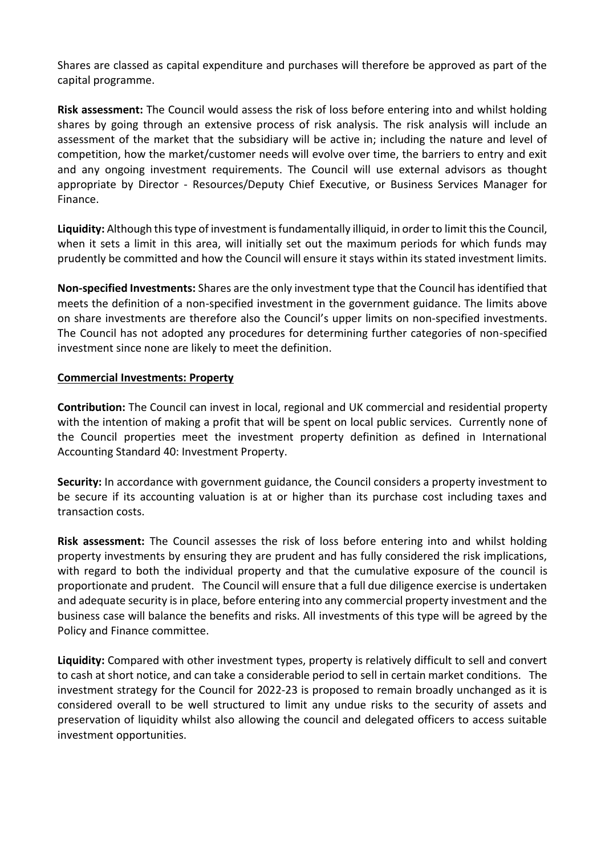Shares are classed as capital expenditure and purchases will therefore be approved as part of the capital programme.

**Risk assessment:** The Council would assess the risk of loss before entering into and whilst holding shares by going through an extensive process of risk analysis. The risk analysis will include an assessment of the market that the subsidiary will be active in; including the nature and level of competition, how the market/customer needs will evolve over time, the barriers to entry and exit and any ongoing investment requirements. The Council will use external advisors as thought appropriate by Director - Resources/Deputy Chief Executive, or Business Services Manager for Finance.

**Liquidity:** Although this type of investment is fundamentally illiquid, in order to limit this the Council, when it sets a limit in this area, will initially set out the maximum periods for which funds may prudently be committed and how the Council will ensure it stays within its stated investment limits.

**Non-specified Investments:** Shares are the only investment type that the Council has identified that meets the definition of a non-specified investment in the government guidance. The limits above on share investments are therefore also the Council's upper limits on non-specified investments. The Council has not adopted any procedures for determining further categories of non-specified investment since none are likely to meet the definition.

# **Commercial Investments: Property**

**Contribution:** The Council can invest in local, regional and UK commercial and residential property with the intention of making a profit that will be spent on local public services. Currently none of the Council properties meet the investment property definition as defined in International Accounting Standard 40: Investment Property.

**Security:** In accordance with government guidance, the Council considers a property investment to be secure if its accounting valuation is at or higher than its purchase cost including taxes and transaction costs.

**Risk assessment:** The Council assesses the risk of loss before entering into and whilst holding property investments by ensuring they are prudent and has fully considered the risk implications, with regard to both the individual property and that the cumulative exposure of the council is proportionate and prudent. The Council will ensure that a full due diligence exercise is undertaken and adequate security is in place, before entering into any commercial property investment and the business case will balance the benefits and risks. All investments of this type will be agreed by the Policy and Finance committee.

**Liquidity:** Compared with other investment types, property is relatively difficult to sell and convert to cash at short notice, and can take a considerable period to sell in certain market conditions. The investment strategy for the Council for 2022-23 is proposed to remain broadly unchanged as it is considered overall to be well structured to limit any undue risks to the security of assets and preservation of liquidity whilst also allowing the council and delegated officers to access suitable investment opportunities.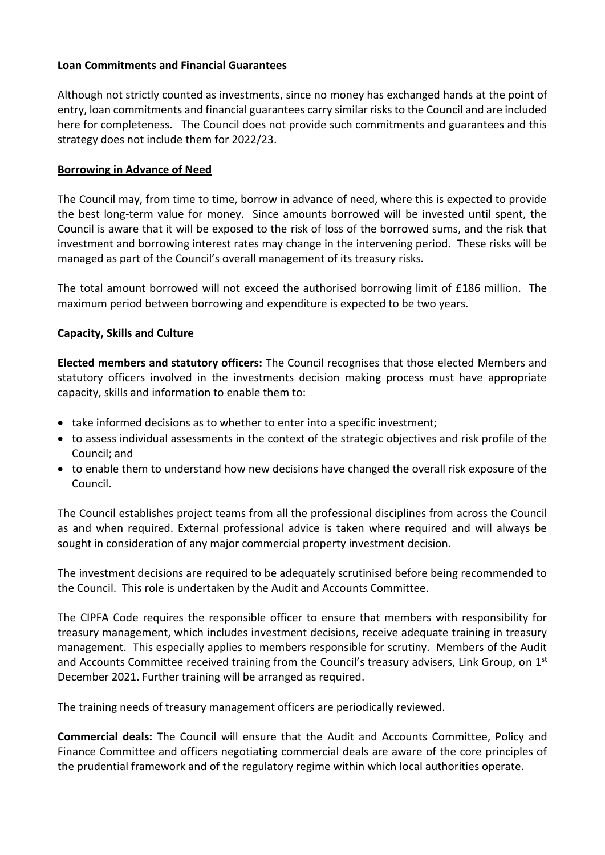# **Loan Commitments and Financial Guarantees**

Although not strictly counted as investments, since no money has exchanged hands at the point of entry, loan commitments and financial guarantees carry similar risks to the Council and are included here for completeness. The Council does not provide such commitments and guarantees and this strategy does not include them for 2022/23.

# **Borrowing in Advance of Need**

The Council may, from time to time, borrow in advance of need, where this is expected to provide the best long-term value for money. Since amounts borrowed will be invested until spent, the Council is aware that it will be exposed to the risk of loss of the borrowed sums, and the risk that investment and borrowing interest rates may change in the intervening period. These risks will be managed as part of the Council's overall management of its treasury risks.

The total amount borrowed will not exceed the authorised borrowing limit of £186 million. The maximum period between borrowing and expenditure is expected to be two years.

# **Capacity, Skills and Culture**

**Elected members and statutory officers:** The Council recognises that those elected Members and statutory officers involved in the investments decision making process must have appropriate capacity, skills and information to enable them to:

- take informed decisions as to whether to enter into a specific investment;
- to assess individual assessments in the context of the strategic objectives and risk profile of the Council; and
- to enable them to understand how new decisions have changed the overall risk exposure of the Council.

The Council establishes project teams from all the professional disciplines from across the Council as and when required. External professional advice is taken where required and will always be sought in consideration of any major commercial property investment decision.

The investment decisions are required to be adequately scrutinised before being recommended to the Council. This role is undertaken by the Audit and Accounts Committee.

The CIPFA Code requires the responsible officer to ensure that members with responsibility for treasury management, which includes investment decisions, receive adequate training in treasury management. This especially applies to members responsible for scrutiny. Members of the Audit and Accounts Committee received training from the Council's treasury advisers, Link Group, on 1st December 2021. Further training will be arranged as required.

The training needs of treasury management officers are periodically reviewed.

**Commercial deals:** The Council will ensure that the Audit and Accounts Committee, Policy and Finance Committee and officers negotiating commercial deals are aware of the core principles of the prudential framework and of the regulatory regime within which local authorities operate.